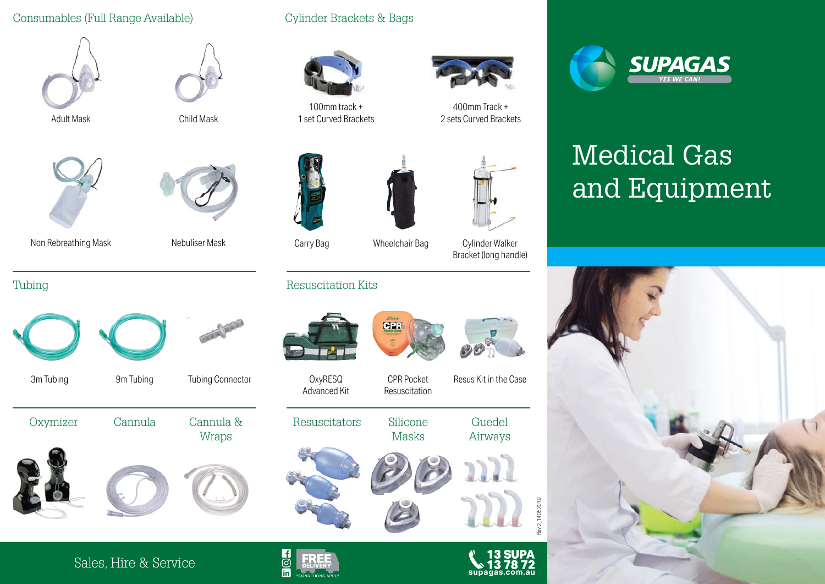### Consumables (Full Range Available)





Adult Mask Child Mask





Tubing













## Cylinder Brackets & Bags



100mm track + 1 set Curved Brackets



400mm Track + 2 sets Curved Brackets



Resuscitation Kits

**OxyRESQ** Advanced Kit

Resuscitators Silicone



CPR Pocket Resuscitation

**CPF** 

Masks



Bracket (long handle)

Resus Kit in the Case

00

Guedel Airways



# Medical Gas and Equipment



Sales, Hire & Service